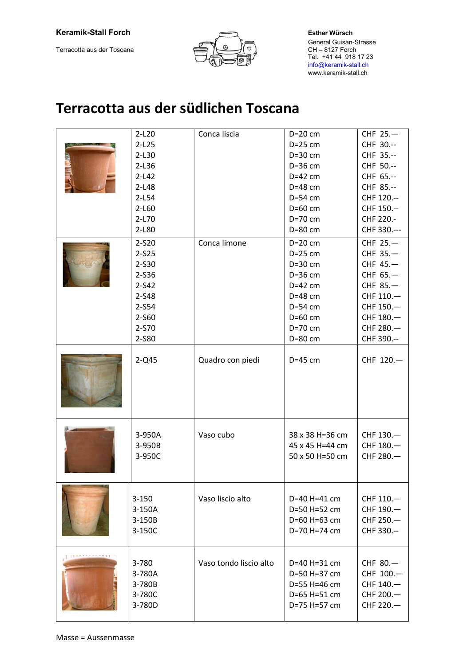### Keramik-Stall Forch **Esther Würsch** Esther Würsch

Terracotta aus der Toscana



 General Guisan-Strasse CH – 8127 Forch<br>Tel. +41 44 918 17 23 info@keramik-stall.ch www.keramik-stall.ch

# Terracotta aus der südlichen Toscana

|  | $2-L20$                                       | Conca liscia           | $D=20$ cm                                                                    | CHF 25.-                                                     |
|--|-----------------------------------------------|------------------------|------------------------------------------------------------------------------|--------------------------------------------------------------|
|  | $2-L25$                                       |                        | $D=25$ cm                                                                    | CHF 30 .--                                                   |
|  | $2-L30$                                       |                        | $D=30$ cm                                                                    | CHF 35 .--                                                   |
|  | $2-L36$                                       |                        | $D=36$ cm                                                                    | CHF 50 .--                                                   |
|  | $2-L42$                                       |                        | $D=42$ cm                                                                    | CHF 65 .--                                                   |
|  | $2-L48$                                       |                        | $D=48$ cm                                                                    | CHF 85 .--                                                   |
|  | $2-L54$                                       |                        | D=54 cm                                                                      | CHF 120 .--                                                  |
|  | $2-L60$                                       |                        | $D=60$ cm                                                                    | CHF 150 .--                                                  |
|  | $2-L70$                                       |                        | $D=70$ cm                                                                    | CHF 220.-                                                    |
|  | 2-L80                                         |                        | D=80 cm                                                                      | CHF 330 .---                                                 |
|  | 2-S20                                         | Conca limone           | $D=20$ cm                                                                    | CHF 25.-                                                     |
|  | $2 - S25$                                     |                        | $D=25$ cm                                                                    | CHF 35.-                                                     |
|  | 2-S30                                         |                        | $D=30$ cm                                                                    | CHF 45.-                                                     |
|  | 2-S36                                         |                        | D=36 cm                                                                      | CHF 65.-                                                     |
|  | $2 - S42$                                     |                        | $D=42$ cm                                                                    | CHF 85.-                                                     |
|  | 2-S48                                         |                        | $D=48$ cm                                                                    | CHF 110.-                                                    |
|  | 2-S54                                         |                        | $D=54$ cm                                                                    | CHF 150.-                                                    |
|  | 2-S60                                         |                        | D=60 cm                                                                      | CHF 180.-                                                    |
|  | 2-S70                                         |                        | $D=70$ cm                                                                    | CHF 280.-                                                    |
|  | 2-S80                                         |                        | D=80 cm                                                                      | CHF 390 .--                                                  |
|  |                                               |                        |                                                                              |                                                              |
|  | $2-Q45$                                       | Quadro con piedi       | $D=45$ cm                                                                    | CHF 120.-                                                    |
|  | 3-950A<br>3-950B<br>3-950C                    | Vaso cubo              | 38 x 38 H=36 cm<br>45 x 45 H=44 cm<br>50 x 50 H=50 cm                        | CHF 130.-<br>CHF 180.-<br>CHF 280.-                          |
|  | $3 - 150$<br>3-150A<br>3-150B<br>3-150C       | Vaso liscio alto       | D=40 H=41 cm<br>D=50 H=52 cm<br>D=60 H=63 cm<br>D=70 H=74 cm                 | CHF $110 -$<br>CHF 190.-<br>CHF 250.-<br>CHF 330 .--         |
|  | 3-780<br>3-780A<br>3-780B<br>3-780C<br>3-780D | Vaso tondo liscio alto | D=40 H=31 cm<br>D=50 H=37 cm<br>D=55 H=46 cm<br>D=65 H=51 cm<br>D=75 H=57 cm | CHF 80.-<br>CHF 100.-<br>CHF 140.-<br>CHF 200.-<br>CHF 220.- |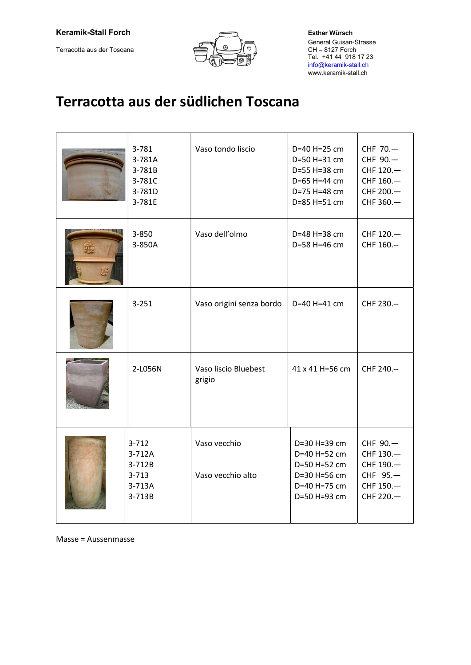Terracotta aus der Toscana



 General Guisan-Strasse CH – 8127 Forch<br>Tel. +41 44 918 17 23 info@keramik-stall.ch www.keramik-stall.ch

# Terracotta aus der südlichen Toscana

| 3-781<br>3-781A<br>3-781B<br>3-781C<br>3-781D<br>3-781E        | Vaso tondo liscio                 | D=40 H=25 cm<br>D=50 H=31 cm<br>D=55 H=38 cm<br>D=65 H=44 cm<br>D=75 H=48 cm<br>D=85 H=51 cm | CHF 70.-<br>CHF 90.-<br>CHF 120.-<br>CHF 160.-<br>CHF 200.-<br>CHF 360.- |
|----------------------------------------------------------------|-----------------------------------|----------------------------------------------------------------------------------------------|--------------------------------------------------------------------------|
| 3-850<br>3-850A                                                | Vaso dell'olmo                    | D=48 H=38 cm<br>D=58 H=46 cm                                                                 | CHF 120.-<br>CHF 160 .--                                                 |
| $3 - 251$                                                      | Vaso origini senza bordo          | D=40 H=41 cm                                                                                 | CHF 230 .--                                                              |
| 2-L056N                                                        | Vaso liscio Bluebest<br>grigio    | 41 x 41 H=56 cm                                                                              | CHF 240.--                                                               |
| $3 - 712$<br>3-712A<br>3-712B<br>$3 - 713$<br>3-713A<br>3-713B | Vaso vecchio<br>Vaso vecchio alto | D=30 H=39 cm<br>D=40 H=52 cm<br>D=50 H=52 cm<br>D=30 H=56 cm<br>D=40 H=75 cm<br>D=50 H=93 cm | CHF 90.-<br>CHF 130.-<br>CHF 190.-<br>CHF 95.-<br>CHF 150.-<br>CHF 220.- |

Masse = Aussenmasse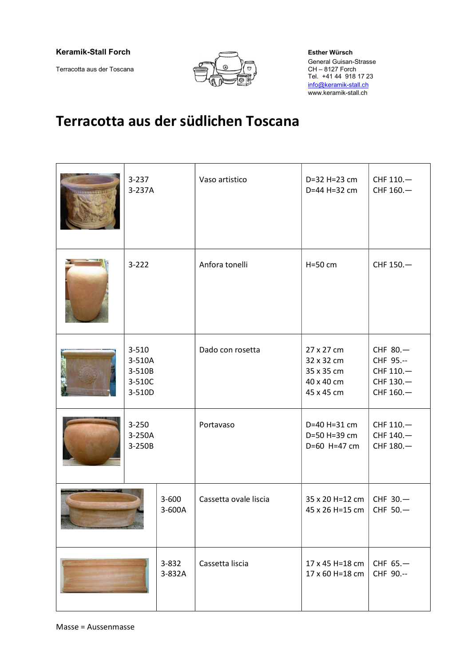### Keramik-Stall Forch Esther Würsch

Terracotta aus der Toscana



 General Guisan-Strasse CH – 8127 Forch<br>Tel. +41 44 918 17 23 info@keramik-stall.ch www.keramik-stall.ch

# Terracotta aus der südlichen Toscana

|  | $3 - 237$<br>3-237A                               |                     | Vaso artistico        | D=32 H=23 cm<br>D=44 H=32 cm                                       | CHF 110.-<br>CHF 160.-                                        |
|--|---------------------------------------------------|---------------------|-----------------------|--------------------------------------------------------------------|---------------------------------------------------------------|
|  | $3 - 222$                                         |                     | Anfora tonelli        | $H=50$ cm                                                          | CHF 150.-                                                     |
|  | $3 - 510$<br>3-510A<br>3-510B<br>3-510C<br>3-510D |                     | Dado con rosetta      | 27 x 27 cm<br>32 x 32 cm<br>35 x 35 cm<br>40 x 40 cm<br>45 x 45 cm | CHF 80.-<br>CHF 95 .--<br>CHF 110.-<br>CHF 130.-<br>CHF 160.- |
|  | $3 - 250$<br>3-250A<br>3-250B                     |                     | Portavaso             | D=40 H=31 cm<br>D=50 H=39 cm<br>D=60 H=47 cm                       | CHF 110.-<br>CHF 140.-<br>CHF 180.-                           |
|  |                                                   | $3 - 600$<br>3-600A | Cassetta ovale liscia | 35 x 20 H=12 cm<br>45 x 26 H=15 cm                                 | CHF 30.-<br>CHF 50.-                                          |
|  |                                                   | 3-832<br>3-832A     | Cassetta liscia       | 17 x 45 H=18 cm<br>17 x 60 H=18 cm                                 | CHF 65.-<br>CHF 90 .--                                        |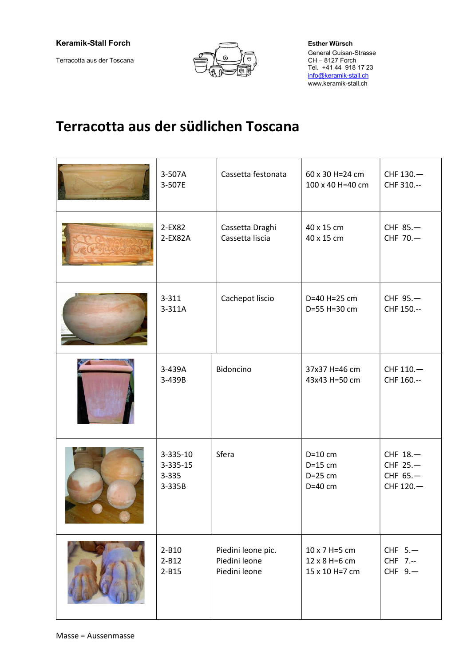Terracotta aus der Toscana



 General Guisan-Strasse info@keramik-stall.ch www.keramik-stall.ch

## Terracotta aus der südlichen Toscana

| 3-507A<br>3-507E                        | Cassetta festonata                                   | 60 x 30 H=24 cm<br>100 x 40 H=40 cm              | CHF 130.-<br>CHF 310 .--                      |
|-----------------------------------------|------------------------------------------------------|--------------------------------------------------|-----------------------------------------------|
| 2-EX82<br>$2$ -EX82A                    | Cassetta Draghi<br>Cassetta liscia                   | 40 x 15 cm<br>40 x 15 cm                         | CHF 85.-<br>CHF 70.-                          |
| $3 - 311$<br>3-311A                     | Cachepot liscio                                      | D=40 H=25 cm<br>D=55 H=30 cm                     | CHF 95.-<br>CHF 150 .--                       |
| 3-439A<br>3-439B                        | Bidoncino                                            | 37x37 H=46 cm<br>43x43 H=50 cm                   | CHF 110.-<br>CHF 160 .--                      |
| 3-335-10<br>3-335-15<br>3-335<br>3-335B | Sfera                                                | $D=10$ cm<br>$D=15$ cm<br>$D=25$ cm<br>$D=40$ cm | CHF 18.-<br>CHF 25.-<br>CHF 65.-<br>CHF 120.- |
| $2 - B10$<br>$2 - B12$<br>$2 - B15$     | Piedini leone pic.<br>Piedini leone<br>Piedini leone | 10 x 7 H=5 cm<br>12 x 8 H=6 cm<br>15 x 10 H=7 cm | CHF 5.-<br>CHF 7.--<br>CHF 9.                 |